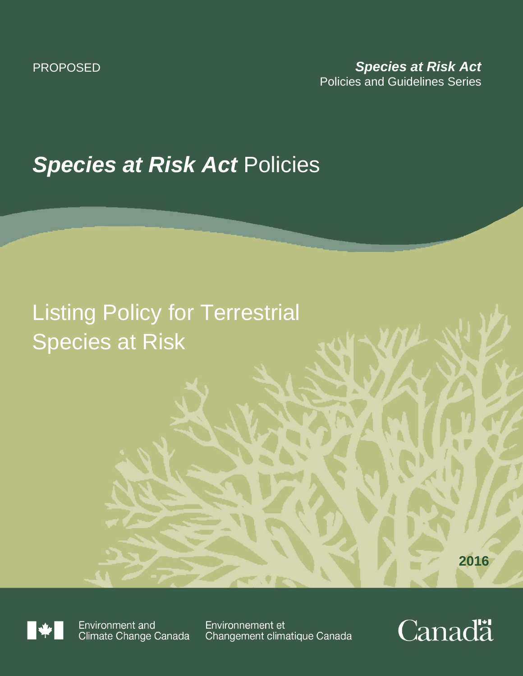# *Species at Risk Act* Policies

# Listing Policy for Terrestrial Species at Risk

**2016**



Environment and Climate Change Canada

Environnement et Changement climatique Canada

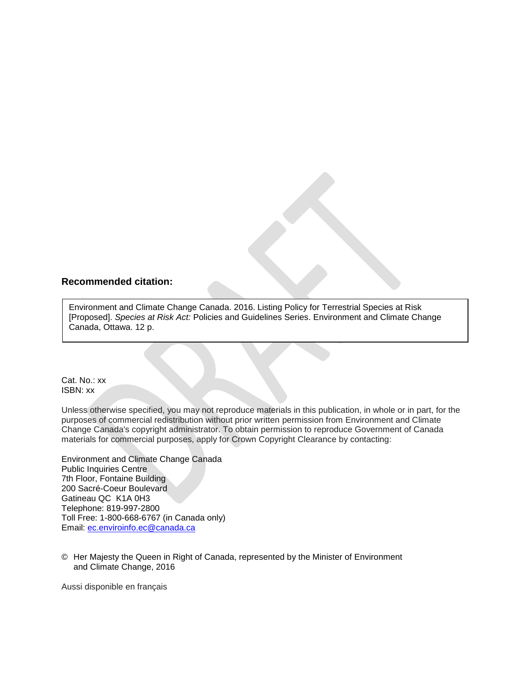### **Recommended citation:**

Environment and Climate Change Canada. 2016. Listing Policy for Terrestrial Species at Risk [Proposed]. *Species at Risk Act:* Policies and Guidelines Series. Environment and Climate Change Canada, Ottawa. 12 p.

Cat. No.: xx ISBN: xx

Unless otherwise specified, you may not reproduce materials in this publication, in whole or in part, for the purposes of commercial redistribution without prior written permission from Environment and Climate Change Canada's copyright administrator. To obtain permission to reproduce Government of Canada materials for commercial purposes, apply for Crown Copyright Clearance by contacting:

Environment and Climate Change Canada Public Inquiries Centre 7th Floor, Fontaine Building 200 Sacré-Coeur Boulevard Gatineau QC K1A 0H3 Telephone: 819-997-2800 Toll Free: 1-800-668-6767 (in Canada only) Email: [ec.enviroinfo.ec@canada.ca](mailto:ec.enviroinfo.ec@canada.ca)

© Her Majesty the Queen in Right of Canada, represented by the Minister of Environment and Climate Change, 2016

Aussi disponible en français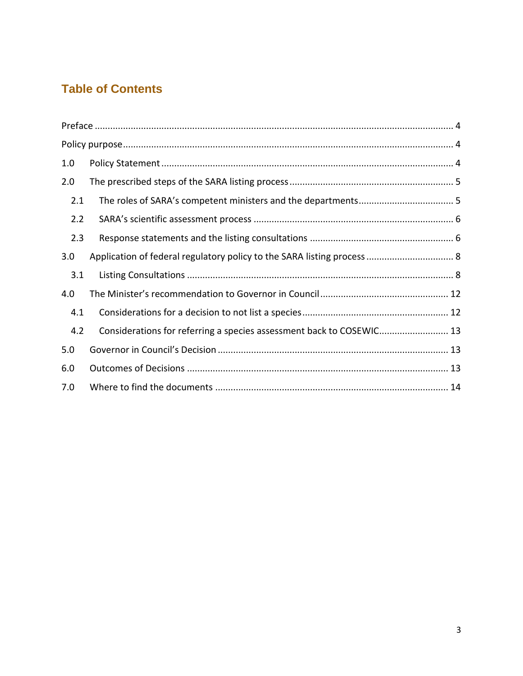# **Table of Contents**

| 1.0 |                                                                      |
|-----|----------------------------------------------------------------------|
| 2.0 |                                                                      |
| 2.1 |                                                                      |
| 2.2 |                                                                      |
| 2.3 |                                                                      |
| 3.0 |                                                                      |
| 3.1 |                                                                      |
| 4.0 |                                                                      |
| 4.1 |                                                                      |
| 4.2 | Considerations for referring a species assessment back to COSEWIC 13 |
| 5.0 |                                                                      |
| 6.0 |                                                                      |
| 7.0 |                                                                      |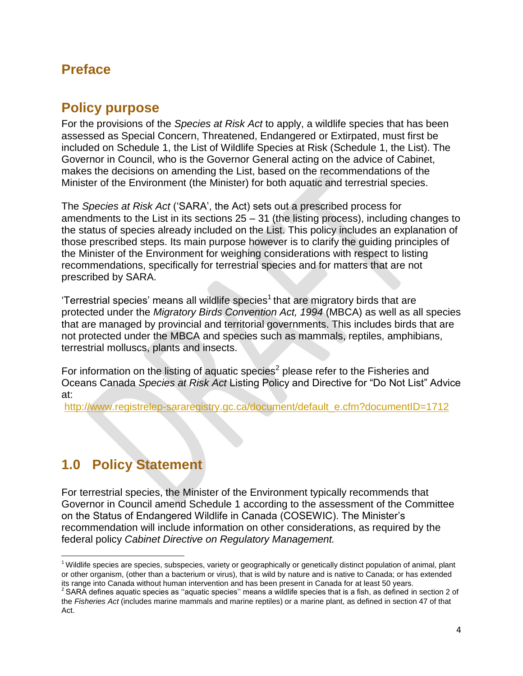# <span id="page-3-1"></span><span id="page-3-0"></span>**Preface**

# **Policy purpose**

For the provisions of the *Species at Risk Act* to apply, a wildlife species that has been assessed as Special Concern, Threatened, Endangered or Extirpated, must first be included on Schedule 1, the List of Wildlife Species at Risk (Schedule 1, the List). The Governor in Council, who is the Governor General acting on the advice of Cabinet, makes the decisions on amending the List, based on the recommendations of the Minister of the Environment (the Minister) for both aquatic and terrestrial species.

The *Species at Risk Act* ('SARA', the Act) sets out a prescribed process for amendments to the List in its sections  $25 - 31$  (the listing process), including changes to the status of species already included on the List. This policy includes an explanation of those prescribed steps. Its main purpose however is to clarify the guiding principles of the Minister of the Environment for weighing considerations with respect to listing recommendations, specifically for terrestrial species and for matters that are not prescribed by SARA.

'Terrestrial species' means all wildlife species<sup>1</sup> that are migratory birds that are protected under the *Migratory Birds Convention Act, 1994* (MBCA) as well as all species that are managed by provincial and territorial governments. This includes birds that are not protected under the MBCA and species such as mammals, reptiles, amphibians, terrestrial molluscs, plants and insects.

For information on the listing of aquatic species<sup>2</sup> please refer to the Fisheries and Oceans Canada *Species at Risk Act* Listing Policy and Directive for "Do Not List" Advice at:

[http://www.registrelep-sararegistry.gc.ca/document/default\\_e.cfm?documentID=1712](http://www.registrelep-sararegistry.gc.ca/document/default_e.cfm?documentID=1712)

# <span id="page-3-2"></span>**1.0 Policy Statement**

l

For terrestrial species, the Minister of the Environment typically recommends that Governor in Council amend Schedule 1 according to the assessment of the Committee on the Status of Endangered Wildlife in Canada (COSEWIC). The Minister's recommendation will include information on other considerations, as required by the federal policy *Cabinet Directive on Regulatory Management.*

 $1$  Wildlife species are species, subspecies, variety or geographically or genetically distinct population of animal, plant or other organism, (other than a bacterium or virus), that is wild by nature and is native to Canada; or has extended its range into Canada without human intervention and has been present in Canada for at least 50 years.

 $2$  SARA defines aquatic species as "aquatic species" means a wildlife species that is a fish, as defined in section 2 of the *Fisheries Act* (includes marine mammals and marine reptiles) or a marine plant, as defined in section 47 of that Act.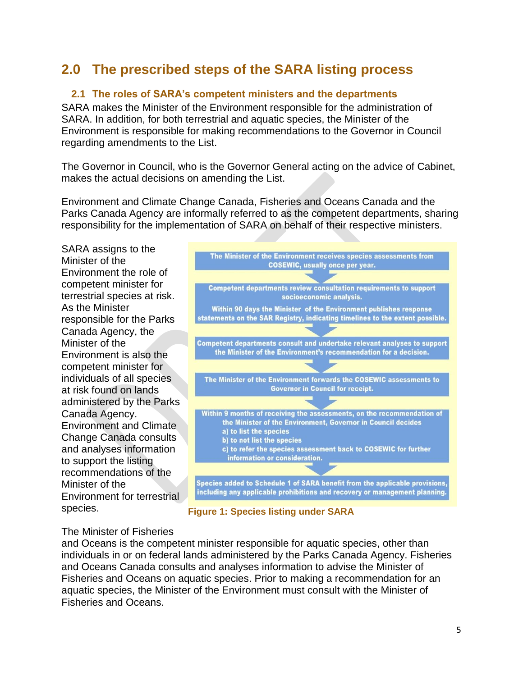# <span id="page-4-0"></span>**2.0 The prescribed steps of the SARA listing process**

## <span id="page-4-1"></span>**2.1 The roles of SARA's competent ministers and the departments**

SARA makes the Minister of the Environment responsible for the administration of SARA. In addition, for both terrestrial and aquatic species, the Minister of the Environment is responsible for making recommendations to the Governor in Council regarding amendments to the List.

The Governor in Council, who is the Governor General acting on the advice of Cabinet, makes the actual decisions on amending the List.

Environment and Climate Change Canada, Fisheries and Oceans Canada and the Parks Canada Agency are informally referred to as the competent departments, sharing responsibility for the implementation of SARA on behalf of their respective ministers.

SARA assigns to the Minister of the Environment the role of competent minister for terrestrial species at risk. As the Minister responsible for the Parks Canada Agency, the Minister of the Environment is also the competent minister for individuals of all species at risk found on lands administered by the Parks Canada Agency. Environment and Climate Change Canada consults and analyses information to support the listing recommendations of the Minister of the Environment for terrestrial species.





## The Minister of Fisheries

and Oceans is the competent minister responsible for aquatic species, other than individuals in or on federal lands administered by the Parks Canada Agency. Fisheries and Oceans Canada consults and analyses information to advise the Minister of Fisheries and Oceans on aquatic species. Prior to making a recommendation for an aquatic species, the Minister of the Environment must consult with the Minister of Fisheries and Oceans.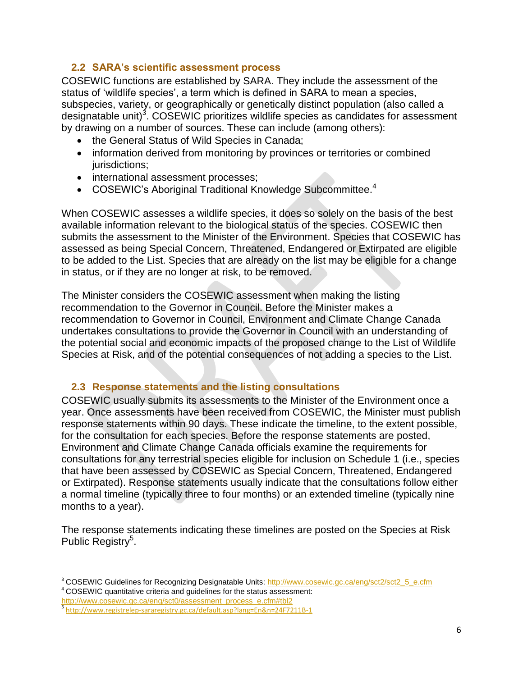## <span id="page-5-0"></span>**2.2 SARA's scientific assessment process**

COSEWIC functions are established by SARA. They include the assessment of the status of 'wildlife species', a term which is defined in SARA to mean a species, subspecies, variety, or geographically or genetically distinct population (also called a designatable unit)<sup>3</sup>. COSEWIC prioritizes wildlife species as candidates for assessment by drawing on a number of sources. These can include (among others):

- the General Status of Wild Species in Canada;
- information derived from monitoring by provinces or territories or combined jurisdictions:
- international assessment processes;
- $\bullet$  COSEWIC's Aboriginal Traditional Knowledge Subcommittee.<sup>4</sup>

When COSEWIC assesses a wildlife species, it does so solely on the basis of the best available information relevant to the biological status of the species. COSEWIC then submits the assessment to the Minister of the Environment. Species that COSEWIC has assessed as being Special Concern, Threatened, Endangered or Extirpated are eligible to be added to the List. Species that are already on the list may be eligible for a change in status, or if they are no longer at risk, to be removed.

The Minister considers the COSEWIC assessment when making the listing recommendation to the Governor in Council. Before the Minister makes a recommendation to Governor in Council, Environment and Climate Change Canada undertakes consultations to provide the Governor in Council with an understanding of the potential social and economic impacts of the proposed change to the List of Wildlife Species at Risk, and of the potential consequences of not adding a species to the List.

## <span id="page-5-1"></span>**2.3 Response statements and the listing consultations**

COSEWIC usually submits its assessments to the Minister of the Environment once a year. Once assessments have been received from COSEWIC, the Minister must publish response statements within 90 days. These indicate the timeline, to the extent possible, for the consultation for each species. Before the response statements are posted, Environment and Climate Change Canada officials examine the requirements for consultations for any terrestrial species eligible for inclusion on Schedule 1 (i.e., species that have been assessed by COSEWIC as Special Concern, Threatened, Endangered or Extirpated). Response statements usually indicate that the consultations follow either a normal timeline (typically three to four months) or an extended timeline (typically nine months to a year).

The response statements indicating these timelines are posted on the Species at Risk Public Registry<sup>5</sup>.

[http://www.cosewic.gc.ca/eng/sct0/assessment\\_process\\_e.cfm#tbl2](http://www.cosewic.gc.ca/eng/sct0/assessment_process_e.cfm#tbl2)

 $\overline{\phantom{a}}$ <sup>3</sup> COSEWIC Guidelines for Recognizing Designatable Units: [http://www.cosewic.gc.ca/eng/sct2/sct2\\_5\\_e.cfm](http://www.cosewic.gc.ca/eng/sct2/sct2_5_e.cfm) <sup>4</sup> COSEWIC quantitative criteria and guidelines for the status assessment:

<sup>5</sup> <http://www.registrelep-sararegistry.gc.ca/default.asp?lang=En&n=24F7211B-1>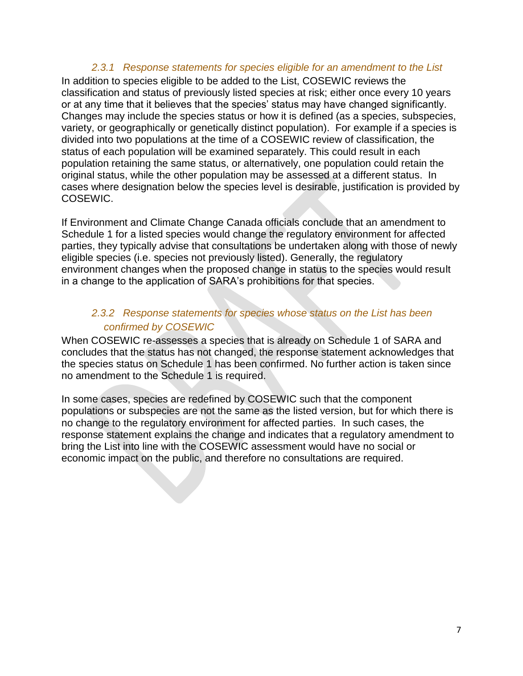## *2.3.1 Response statements for species eligible for an amendment to the List*

In addition to species eligible to be added to the List, COSEWIC reviews the classification and status of previously listed species at risk; either once every 10 years or at any time that it believes that the species' status may have changed significantly. Changes may include the species status or how it is defined (as a species, subspecies, variety, or geographically or genetically distinct population). For example if a species is divided into two populations at the time of a COSEWIC review of classification, the status of each population will be examined separately. This could result in each population retaining the same status, or alternatively, one population could retain the original status, while the other population may be assessed at a different status. In cases where designation below the species level is desirable, justification is provided by COSEWIC.

If Environment and Climate Change Canada officials conclude that an amendment to Schedule 1 for a listed species would change the regulatory environment for affected parties, they typically advise that consultations be undertaken along with those of newly eligible species (i.e. species not previously listed). Generally, the regulatory environment changes when the proposed change in status to the species would result in a change to the application of SARA's prohibitions for that species.

## *2.3.2 Response statements for species whose status on the List has been confirmed by COSEWIC*

When COSEWIC re-assesses a species that is already on Schedule 1 of SARA and concludes that the status has not changed, the response statement acknowledges that the species status on Schedule 1 has been confirmed. No further action is taken since no amendment to the Schedule 1 is required.

In some cases, species are redefined by COSEWIC such that the component populations or subspecies are not the same as the listed version, but for which there is no change to the regulatory environment for affected parties. In such cases, the response statement explains the change and indicates that a regulatory amendment to bring the List into line with the COSEWIC assessment would have no social or economic impact on the public, and therefore no consultations are required.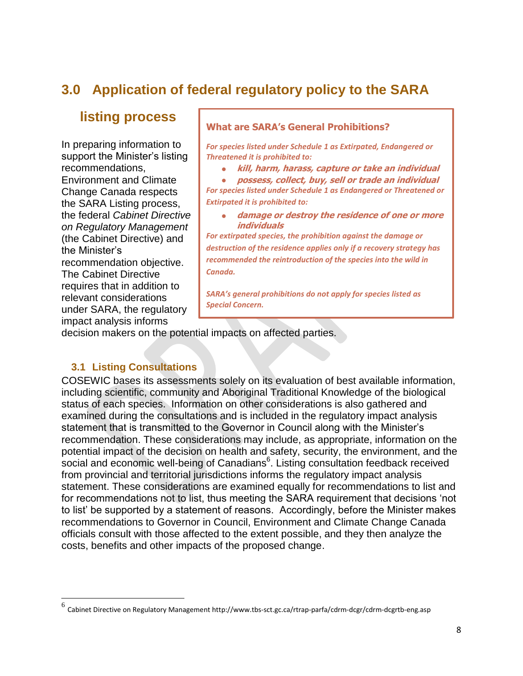# <span id="page-7-0"></span>**3.0 Application of federal regulatory policy to the SARA**

## **listing process**

In preparing information to support the Minister's listing recommendations, Environment and Climate Change Canada respects the SARA Listing process, the federal *Cabinet Directive on Regulatory Management*  (the Cabinet Directive) and the Minister's recommendation objective. The Cabinet Directive requires that in addition to relevant considerations under SARA, the regulatory impact analysis informs

### **What are SARA's General Prohibitions?**

*For species listed under Schedule 1 as Extirpated, Endangered or Threatened it is prohibited to:*

**kill, harm, harass, capture or take an individual**

 **possess, collect, buy, sell or trade an individual**  *For species listed under Schedule 1 as Endangered or Threatened or Extirpated it is prohibited to:*

 **damage or destroy the residence of one or more individuals**

*For extirpated species, the prohibition against the damage or destruction of the residence applies only if a recovery strategy has recommended the reintroduction of the species into the wild in Canada.*

*SARA's general prohibitions do not apply for species listed as Special Concern.*

decision makers on the potential impacts on affected parties.

## <span id="page-7-1"></span>**3.1 Listing Consultations**

 $\overline{\phantom{a}}$ 

COSEWIC bases its assessments solely on its evaluation of best available information, including scientific, community and Aboriginal Traditional Knowledge of the biological status of each species. Information on other considerations is also gathered and examined during the consultations and is included in the regulatory impact analysis statement that is transmitted to the Governor in Council along with the Minister's recommendation. These considerations may include, as appropriate, information on the potential impact of the decision on health and safety, security, the environment, and the .<br>social and economic well-being of Canadians<sup>6</sup>. Listing consultation feedback received from provincial and territorial jurisdictions informs the regulatory impact analysis statement. These considerations are examined equally for recommendations to list and for recommendations not to list, thus meeting the SARA requirement that decisions 'not to list' be supported by a statement of reasons. Accordingly, before the Minister makes recommendations to Governor in Council, Environment and Climate Change Canada officials consult with those affected to the extent possible, and they then analyze the costs, benefits and other impacts of the proposed change.

<sup>&</sup>lt;sup>6</sup> Cabinet Directive on Regulatory Management http://www.tbs-sct.gc.ca/rtrap-parfa/cdrm-dcgr/cdrm-dcgrtb-eng.asp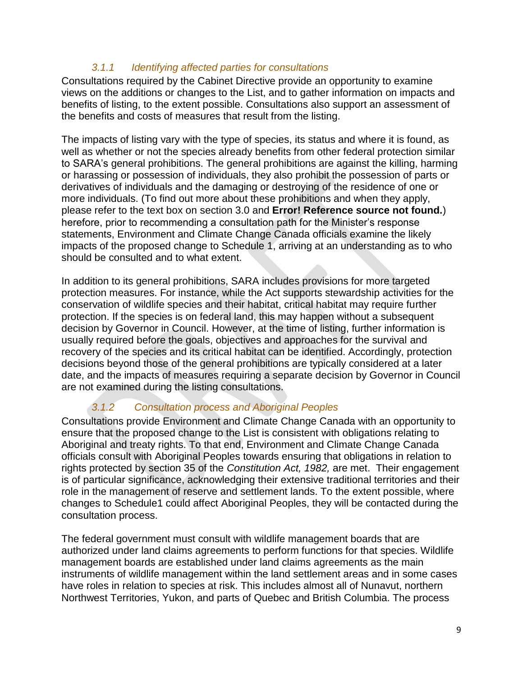## *3.1.1 Identifying affected parties for consultations*

Consultations required by the Cabinet Directive provide an opportunity to examine views on the additions or changes to the List, and to gather information on impacts and benefits of listing, to the extent possible. Consultations also support an assessment of the benefits and costs of measures that result from the listing.

The impacts of listing vary with the type of species, its status and where it is found, as well as whether or not the species already benefits from other federal protection similar to SARA's general prohibitions. The general prohibitions are against the killing, harming or harassing or possession of individuals, they also prohibit the possession of parts or derivatives of individuals and the damaging or destroying of the residence of one or more individuals. (To find out more about these prohibitions and when they apply, please refer to the text box on section [3.0](#page-7-0) and **Error! Reference source not found.**) herefore, prior to recommending a consultation path for the Minister's response statements, Environment and Climate Change Canada officials examine the likely impacts of the proposed change to Schedule 1, arriving at an understanding as to who should be consulted and to what extent.

In addition to its general prohibitions, SARA includes provisions for more targeted protection measures. For instance, while the Act supports stewardship activities for the conservation of wildlife species and their habitat, critical habitat may require further protection. If the species is on federal land, this may happen without a subsequent decision by Governor in Council. However, at the time of listing, further information is usually required before the goals, objectives and approaches for the survival and recovery of the species and its critical habitat can be identified. Accordingly, protection decisions beyond those of the general prohibitions are typically considered at a later date, and the impacts of measures requiring a separate decision by Governor in Council are not examined during the listing consultations.

## *3.1.2 Consultation process and Aboriginal Peoples*

Consultations provide Environment and Climate Change Canada with an opportunity to ensure that the proposed change to the List is consistent with obligations relating to Aboriginal and treaty rights. To that end, Environment and Climate Change Canada officials consult with Aboriginal Peoples towards ensuring that obligations in relation to rights protected by section 35 of the *Constitution Act, 1982,* are met. Their engagement is of particular significance, acknowledging their extensive traditional territories and their role in the management of reserve and settlement lands. To the extent possible, where changes to Schedule1 could affect Aboriginal Peoples, they will be contacted during the consultation process.

The federal government must consult with wildlife management boards that are authorized under land claims agreements to perform functions for that species. Wildlife management boards are established under land claims agreements as the main instruments of wildlife management within the land settlement areas and in some cases have roles in relation to species at risk. This includes almost all of Nunavut, northern Northwest Territories, Yukon, and parts of Quebec and British Columbia. The process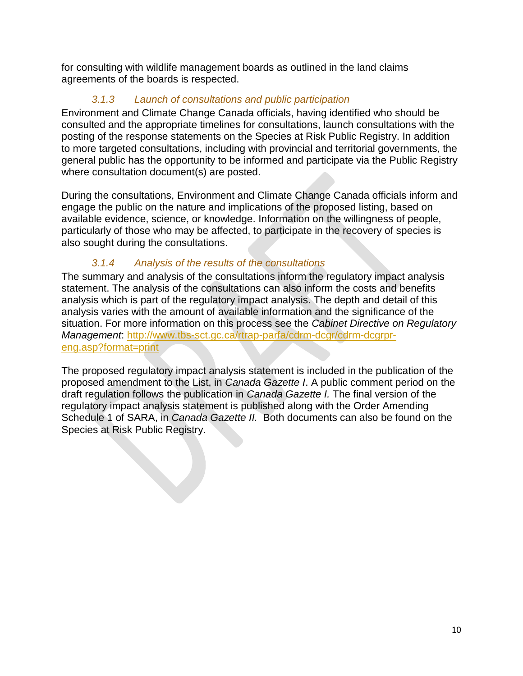for consulting with wildlife management boards as outlined in the land claims agreements of the boards is respected.

## *3.1.3 Launch of consultations and public participation*

Environment and Climate Change Canada officials, having identified who should be consulted and the appropriate timelines for consultations, launch consultations with the posting of the response statements on the Species at Risk Public Registry. In addition to more targeted consultations, including with provincial and territorial governments, the general public has the opportunity to be informed and participate via the Public Registry where consultation document(s) are posted.

During the consultations, Environment and Climate Change Canada officials inform and engage the public on the nature and implications of the proposed listing, based on available evidence, science, or knowledge. Information on the willingness of people, particularly of those who may be affected, to participate in the recovery of species is also sought during the consultations.

## *3.1.4 Analysis of the results of the consultations*

The summary and analysis of the consultations inform the regulatory impact analysis statement. The analysis of the consultations can also inform the costs and benefits analysis which is part of the regulatory impact analysis. The depth and detail of this analysis varies with the amount of available information and the significance of the situation. For more information on this process see the *Cabinet Directive on Regulatory Management*: [http://www.tbs-sct.gc.ca/rtrap-parfa/cdrm-dcgr/cdrm-dcgrpr](http://www.tbs-sct.gc.ca/rtrap-parfa/cdrm-dcgr/cdrm-dcgrpr-eng.asp?format=print)[eng.asp?format=print](http://www.tbs-sct.gc.ca/rtrap-parfa/cdrm-dcgr/cdrm-dcgrpr-eng.asp?format=print) 

The proposed regulatory impact analysis statement is included in the publication of the proposed amendment to the List, in *Canada Gazette I*. A public comment period on the draft regulation follows the publication in *Canada Gazette I.* The final version of the regulatory impact analysis statement is published along with the Order Amending Schedule 1 of SARA, in *Canada Gazette II.* Both documents can also be found on the Species at Risk Public Registry.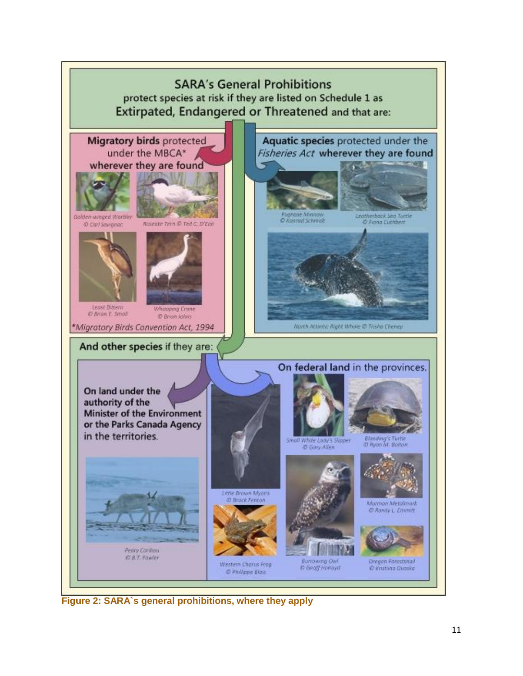

**Figure 2: SARA`s general prohibitions, where they apply**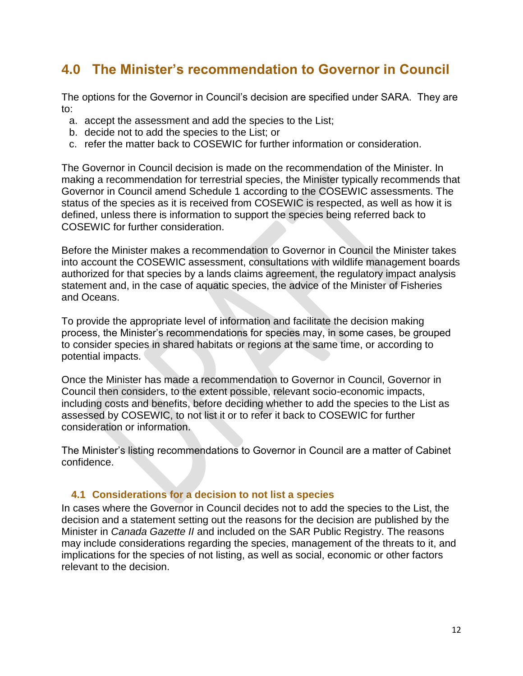# <span id="page-11-0"></span>**4.0 The Minister's recommendation to Governor in Council**

The options for the Governor in Council's decision are specified under SARA. They are to:

- a. accept the assessment and add the species to the List;
- b. decide not to add the species to the List; or
- c. refer the matter back to COSEWIC for further information or consideration.

The Governor in Council decision is made on the recommendation of the Minister. In making a recommendation for terrestrial species, the Minister typically recommends that Governor in Council amend Schedule 1 according to the COSEWIC assessments. The status of the species as it is received from COSEWIC is respected, as well as how it is defined, unless there is information to support the species being referred back to COSEWIC for further consideration.

Before the Minister makes a recommendation to Governor in Council the Minister takes into account the COSEWIC assessment, consultations with wildlife management boards authorized for that species by a lands claims agreement, the regulatory impact analysis statement and, in the case of aquatic species, the advice of the Minister of Fisheries and Oceans.

To provide the appropriate level of information and facilitate the decision making process, the Minister's recommendations for species may, in some cases, be grouped to consider species in shared habitats or regions at the same time, or according to potential impacts.

Once the Minister has made a recommendation to Governor in Council, Governor in Council then considers, to the extent possible, relevant socio-economic impacts, including costs and benefits, before deciding whether to add the species to the List as assessed by COSEWIC, to not list it or to refer it back to COSEWIC for further consideration or information.

The Minister's listing recommendations to Governor in Council are a matter of Cabinet confidence.

## <span id="page-11-1"></span>**4.1 Considerations for a decision to not list a species**

In cases where the Governor in Council decides not to add the species to the List, the decision and a statement setting out the reasons for the decision are published by the Minister in *Canada Gazette II* and included on the SAR Public Registry. The reasons may include considerations regarding the species, management of the threats to it, and implications for the species of not listing, as well as social, economic or other factors relevant to the decision.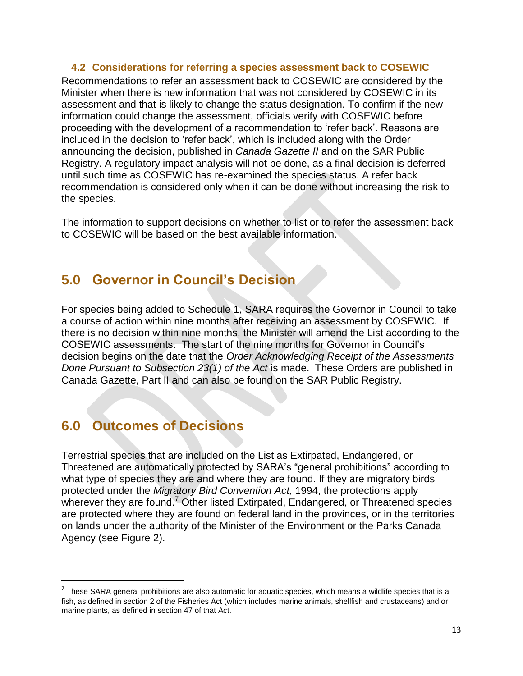### <span id="page-12-0"></span>**4.2 Considerations for referring a species assessment back to COSEWIC**

Recommendations to refer an assessment back to COSEWIC are considered by the Minister when there is new information that was not considered by COSEWIC in its assessment and that is likely to change the status designation. To confirm if the new information could change the assessment, officials verify with COSEWIC before proceeding with the development of a recommendation to 'refer back'. Reasons are included in the decision to 'refer back', which is included along with the Order announcing the decision, published in *Canada Gazette II* and on the SAR Public Registry. A regulatory impact analysis will not be done, as a final decision is deferred until such time as COSEWIC has re-examined the species status. A refer back recommendation is considered only when it can be done without increasing the risk to the species.

The information to support decisions on whether to list or to refer the assessment back to COSEWIC will be based on the best available information.

## <span id="page-12-1"></span>**5.0 Governor in Council's Decision**

For species being added to Schedule 1, SARA requires the Governor in Council to take a course of action within nine months after receiving an assessment by COSEWIC. If there is no decision within nine months, the Minister will amend the List according to the COSEWIC assessments. The start of the nine months for Governor in Council's decision begins on the date that the *Order Acknowledging Receipt of the Assessments Done Pursuant to Subsection 23(1) of the Act* is made. These Orders are published in Canada Gazette, Part II and can also be found on the SAR Public Registry.

# <span id="page-12-2"></span>**6.0 Outcomes of Decisions**

l

Terrestrial species that are included on the List as Extirpated, Endangered, or Threatened are automatically protected by SARA's "general prohibitions" according to what type of species they are and where they are found. If they are migratory birds protected under the *Migratory Bird Convention Act,* 1994, the protections apply wherever they are found.<sup>7</sup> Other listed Extirpated, Endangered, or Threatened species are protected where they are found on federal land in the provinces, or in the territories on lands under the authority of the Minister of the Environment or the Parks Canada Agency (see Figure 2).

 $^7$  These SARA general prohibitions are also automatic for aquatic species, which means a wildlife species that is a fish, as defined in section 2 of the Fisheries Act (which includes marine animals, shellfish and crustaceans) and or marine plants, as defined in section 47 of that Act.